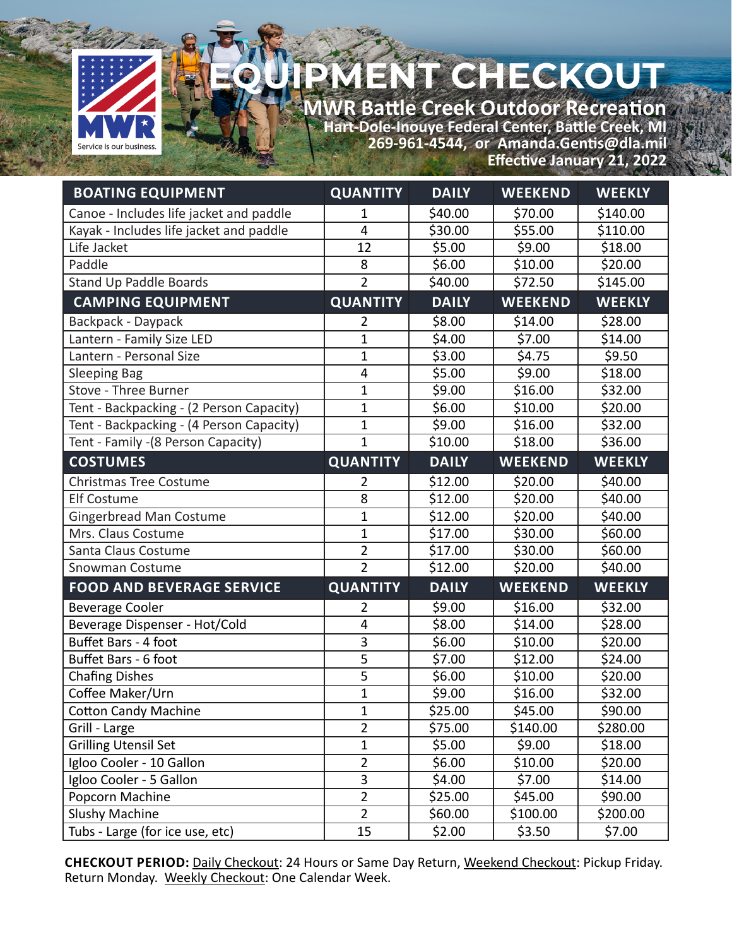

## ENT CHECKOUT

**MWR Battle Creek Outdoor Recreation Hart-Dole-Inouye Federal Center, Battle Creek, MI 269-961-4544, or Amanda.Gentis@dla.mil Effective January 21, 2022**

| <b>BOATING EQUIPMENT</b>                 | <b>QUANTITY</b> | <b>DAILY</b> | <b>WEEKEND</b> | <b>WEEKLY</b> |
|------------------------------------------|-----------------|--------------|----------------|---------------|
| Canoe - Includes life jacket and paddle  | 1               | \$40.00      | \$70.00        | \$140.00      |
| Kayak - Includes life jacket and paddle  | 4               | \$30.00      | \$55.00        | \$110.00      |
| Life Jacket                              | 12              | \$5.00       | \$9.00         | \$18.00       |
| Paddle                                   | 8               | \$6.00       | \$10.00        | \$20.00       |
| Stand Up Paddle Boards                   | $\overline{2}$  | \$40.00      | \$72.50        | \$145.00      |
| <b>CAMPING EQUIPMENT</b>                 | <b>QUANTITY</b> | <b>DAILY</b> | <b>WEEKEND</b> | <b>WEEKLY</b> |
| Backpack - Daypack                       | $\overline{2}$  | \$8.00       | \$14.00        | \$28.00       |
| Lantern - Family Size LED                | $\mathbf 1$     | \$4.00       | \$7.00         | \$14.00       |
| Lantern - Personal Size                  | $\mathbf{1}$    | \$3.00       | \$4.75         | \$9.50        |
| <b>Sleeping Bag</b>                      | 4               | \$5.00       | \$9.00         | \$18.00       |
| Stove - Three Burner                     | $\mathbf{1}$    | \$9.00       | \$16.00        | \$32.00       |
| Tent - Backpacking - (2 Person Capacity) | $\mathbf{1}$    | \$6.00       | \$10.00        | \$20.00       |
| Tent - Backpacking - (4 Person Capacity) | $\mathbf{1}$    | \$9.00       | \$16.00        | \$32.00       |
| Tent - Family - (8 Person Capacity)      | $\overline{1}$  | \$10.00      | \$18.00        | \$36.00       |
| <b>COSTUMES</b>                          | <b>QUANTITY</b> | <b>DAILY</b> | <b>WEEKEND</b> | <b>WEEKLY</b> |
| <b>Christmas Tree Costume</b>            | $\overline{2}$  | \$12.00      | \$20.00        | \$40.00       |
| <b>Elf Costume</b>                       | 8               | \$12.00      | \$20.00        | \$40.00       |
| <b>Gingerbread Man Costume</b>           | $\mathbf{1}$    | \$12.00      | \$20.00        | \$40.00       |
| Mrs. Claus Costume                       | $\overline{1}$  | \$17.00      | \$30.00        | \$60.00       |
| Santa Claus Costume                      | $\overline{2}$  | \$17.00      | \$30.00        | 560.00        |
| Snowman Costume                          | $\overline{2}$  | \$12.00      | \$20.00        | \$40.00       |
| <b>FOOD AND BEVERAGE SERVICE</b>         | <b>QUANTITY</b> | <b>DAILY</b> | <b>WEEKEND</b> | <b>WEEKLY</b> |
| <b>Beverage Cooler</b>                   | 2               | \$9.00       | \$16.00        | \$32.00       |
| Beverage Dispenser - Hot/Cold            | 4               | \$8.00       | \$14.00        | \$28.00       |
| Buffet Bars - 4 foot                     | $\overline{3}$  | \$6.00       | \$10.00        | \$20.00       |
| Buffet Bars - 6 foot                     | $\overline{5}$  | \$7.00       | \$12.00        | \$24.00       |
| <b>Chafing Dishes</b>                    | 5               | \$6.00       | \$10.00        | \$20.00       |
| Coffee Maker/Urn                         | $\mathbf{1}$    | \$9.00       | \$16.00        | \$32.00       |
| <b>Cotton Candy Machine</b>              | $\mathbf{1}$    | \$25.00      | \$45.00        | \$90.00       |
| Grill - Large                            | $\overline{2}$  | \$75.00      | \$140.00       | \$280.00      |
| <b>Grilling Utensil Set</b>              | $\mathbf{1}$    | \$5.00       | \$9.00         | \$18.00       |
| Igloo Cooler - 10 Gallon                 | $\overline{2}$  | \$6.00       | \$10.00        | \$20.00       |
| Igloo Cooler - 5 Gallon                  | 3               | \$4.00       | \$7.00         | \$14.00       |
| Popcorn Machine                          | $\overline{2}$  | \$25.00      | \$45.00        | \$90.00       |
| <b>Slushy Machine</b>                    | $\overline{2}$  | \$60.00      | \$100.00       | \$200.00      |
| Tubs - Large (for ice use, etc)          | 15              | \$2.00       | \$3.50         | \$7.00        |

**CHECKOUT PERIOD:** Daily Checkout: 24 Hours or Same Day Return, Weekend Checkout: Pickup Friday. Return Monday. Weekly Checkout: One Calendar Week.